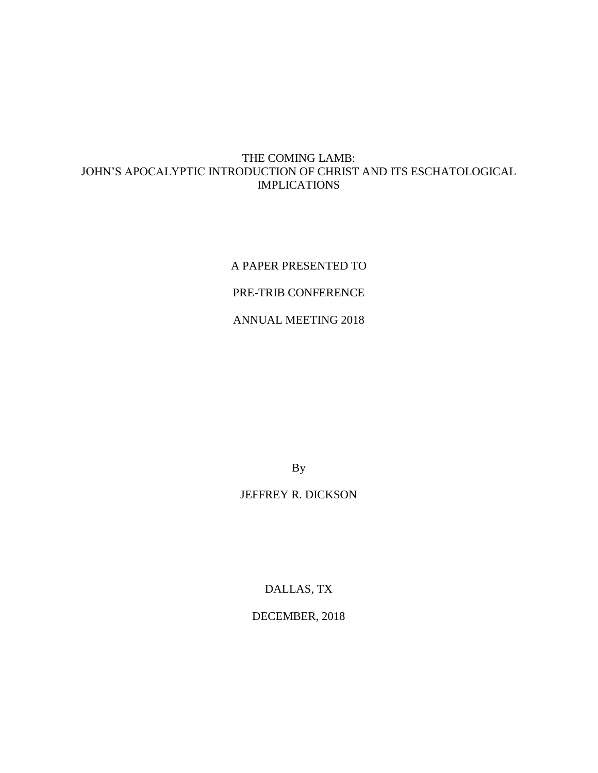## THE COMING LAMB: JOHN'S APOCALYPTIC INTRODUCTION OF CHRIST AND ITS ESCHATOLOGICAL IMPLICATIONS

A PAPER PRESENTED TO PRE-TRIB CONFERENCE ANNUAL MEETING 2018

By

# JEFFREY R. DICKSON

DALLAS, TX

DECEMBER, 2018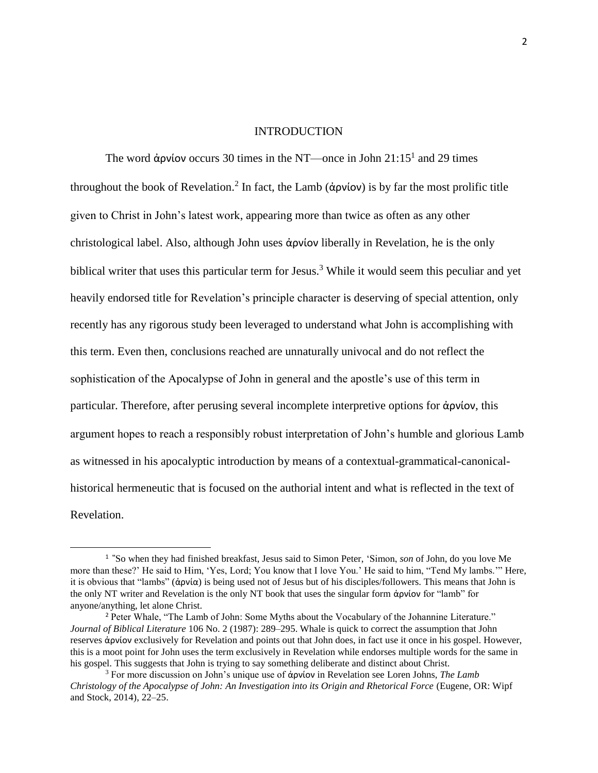#### INTRODUCTION

The word άρνίον occurs 30 times in the NT—once in John  $21:15<sup>1</sup>$  and 29 times throughout the book of Revelation.<sup>2</sup> In fact, the Lamb (άρνίον) is by far the most prolific title given to Christ in John's latest work, appearing more than twice as often as any other christological label. Also, although John uses ἀρνίον liberally in Revelation, he is the only biblical writer that uses this particular term for Jesus.<sup>3</sup> While it would seem this peculiar and yet heavily endorsed title for Revelation's principle character is deserving of special attention, only recently has any rigorous study been leveraged to understand what John is accomplishing with this term. Even then, conclusions reached are unnaturally univocal and do not reflect the sophistication of the Apocalypse of John in general and the apostle's use of this term in particular. Therefore, after perusing several incomplete interpretive options for ἀρνίον, this argument hopes to reach a responsibly robust interpretation of John's humble and glorious Lamb as witnessed in his apocalyptic introduction by means of a contextual-grammatical-canonicalhistorical hermeneutic that is focused on the authorial intent and what is reflected in the text of Revelation.

<sup>1</sup> **"**So when they had finished breakfast, Jesus said to Simon Peter, 'Simon, *son* of John, do you love Me more than these?' He said to Him, 'Yes, Lord; You know that I love You.' He said to him, "Tend My lambs.'" Here, it is obvious that "lambs" (ἀρνία) is being used not of Jesus but of his disciples/followers. This means that John is the only NT writer and Revelation is the only NT book that uses the singular form ἀρνίον for "lamb" for anyone/anything, let alone Christ.

<sup>&</sup>lt;sup>2</sup> Peter Whale, "The Lamb of John: Some Myths about the Vocabulary of the Johannine Literature." *Journal of Biblical Literature* 106 No. 2 (1987): 289–295. Whale is quick to correct the assumption that John reserves ἀρνίον exclusively for Revelation and points out that John does, in fact use it once in his gospel. However, this is a moot point for John uses the term exclusively in Revelation while endorses multiple words for the same in his gospel. This suggests that John is trying to say something deliberate and distinct about Christ.

<sup>3</sup> For more discussion on John's unique use of ἀρνίον in Revelation see Loren Johns, *The Lamb Christology of the Apocalypse of John: An Investigation into its Origin and Rhetorical Force* (Eugene, OR: Wipf and Stock, 2014), 22–25.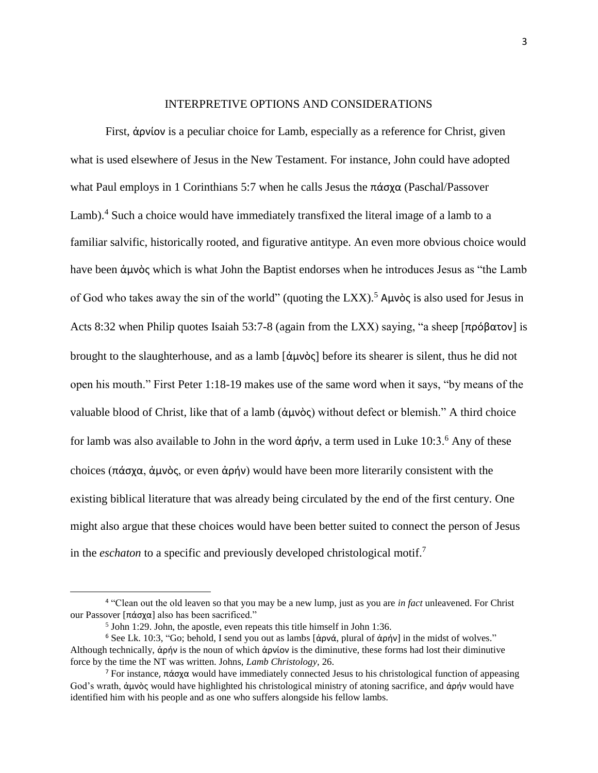## INTERPRETIVE OPTIONS AND CONSIDERATIONS

First, ἀρνίον is a peculiar choice for Lamb, especially as a reference for Christ, given what is used elsewhere of Jesus in the New Testament. For instance, John could have adopted what Paul employs in 1 Corinthians 5:7 when he calls Jesus the πάσχα (Paschal/Passover Lamb).<sup>4</sup> Such a choice would have immediately transfixed the literal image of a lamb to a familiar salvific, historically rooted, and figurative antitype. An even more obvious choice would have been ἀμνὸς which is what John the Baptist endorses when he introduces Jesus as "the Lamb of God who takes away the sin of the world" (quoting the LXX).<sup>5</sup> Αμνὸς is also used for Jesus in Acts 8:32 when Philip quotes Isaiah 53:7-8 (again from the LXX) saying, "a sheep [πρόβατον] is brought to the slaughterhouse, and as a lamb [ἀμνὸς before its shearer is silent, thus he did not open his mouth." First Peter 1:18-19 makes use of the same word when it says, "by means of the valuable blood of Christ, like that of a lamb (ἀμνὸς) without defect or blemish." A third choice for lamb was also available to John in the word άρήν, a term used in Luke  $10:3.^6$  Any of these choices (πάσχα, άμνὸς, or even ἀρήν) would have been more literarily consistent with the existing biblical literature that was already being circulated by the end of the first century. One might also argue that these choices would have been better suited to connect the person of Jesus in the *eschaton* to a specific and previously developed christological motif. 7

<sup>4</sup> "Clean out the old leaven so that you may be a new lump, just as you are *in fact* unleavened. For Christ our Passover [πάσχα] also has been sacrificed."

<sup>&</sup>lt;sup>5</sup> John 1:29. John, the apostle, even repeats this title himself in John 1:36.

<sup>6</sup> See Lk. 10:3, "Go; behold, I send you out as lambs [ἀρνά, plural of ἀρήν] in the midst of wolves." Although technically, ἀρήν is the noun of which ἀρνίον is the diminutive, these forms had lost their diminutive force by the time the NT was written. Johns, *Lamb Christology,* 26.

<sup>&</sup>lt;sup>7</sup> For instance, πάσχα would have immediately connected Jesus to his christological function of appeasing God's wrath, ἀμνὸς would have highlighted his christological ministry of atoning sacrifice, and ἀρήν would have identified him with his people and as one who suffers alongside his fellow lambs.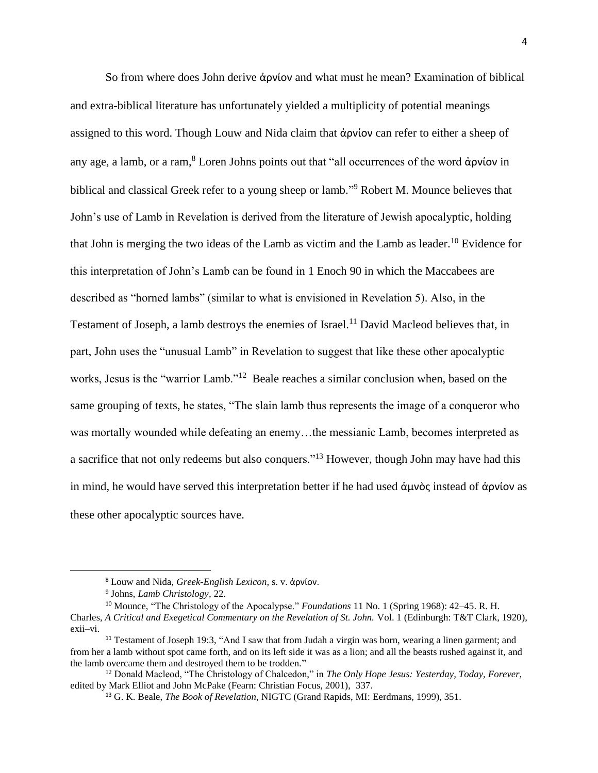So from where does John derive ἀρνίον and what must he mean? Examination of biblical and extra-biblical literature has unfortunately yielded a multiplicity of potential meanings assigned to this word. Though Louw and Nida claim that ἀρνίον can refer to either a sheep of any age, a lamb, or a ram, <sup>8</sup> Loren Johns points out that "all occurrences of the word ἀρνίον in biblical and classical Greek refer to a young sheep or lamb."<sup>9</sup> Robert M. Mounce believes that John's use of Lamb in Revelation is derived from the literature of Jewish apocalyptic, holding that John is merging the two ideas of the Lamb as victim and the Lamb as leader.<sup>10</sup> Evidence for this interpretation of John's Lamb can be found in 1 Enoch 90 in which the Maccabees are described as "horned lambs" (similar to what is envisioned in Revelation 5). Also, in the Testament of Joseph, a lamb destroys the enemies of Israel.<sup>11</sup> David Macleod believes that, in part, John uses the "unusual Lamb" in Revelation to suggest that like these other apocalyptic works, Jesus is the "warrior Lamb."<sup>12</sup> Beale reaches a similar conclusion when, based on the same grouping of texts, he states, "The slain lamb thus represents the image of a conqueror who was mortally wounded while defeating an enemy…the messianic Lamb, becomes interpreted as a sacrifice that not only redeems but also conquers."<sup>13</sup> However, though John may have had this in mind, he would have served this interpretation better if he had used ἀμνὸς instead of ἀρνίον as these other apocalyptic sources have.

<sup>8</sup> Louw and Nida, *Greek-English Lexicon,* s. v. ἀρνίον.

<sup>9</sup> Johns, *Lamb Christology,* 22.

<sup>10</sup> Mounce, "The Christology of the Apocalypse." *Foundations* 11 No. 1 (Spring 1968): 42–45. R. H. Charles, *A Critical and Exegetical Commentary on the Revelation of St. John.* Vol. 1 (Edinburgh: T&T Clark, 1920), exii–vi.

<sup>&</sup>lt;sup>11</sup> Testament of Joseph 19:3, "And I saw that from Judah a virgin was born, wearing a linen garment; and from her a lamb without spot came forth, and on its left side it was as a lion; and all the beasts rushed against it, and the lamb overcame them and destroyed them to be trodden."

<sup>12</sup> Donald Macleod, "The Christology of Chalcedon," in *The Only Hope Jesus: Yesterday, Today, Forever,*  edited by Mark Elliot and John McPake (Fearn: Christian Focus, 2001), 337.

<sup>13</sup> G. K. Beale, *The Book of Revelation,* NIGTC (Grand Rapids, MI: Eerdmans, 1999), 351.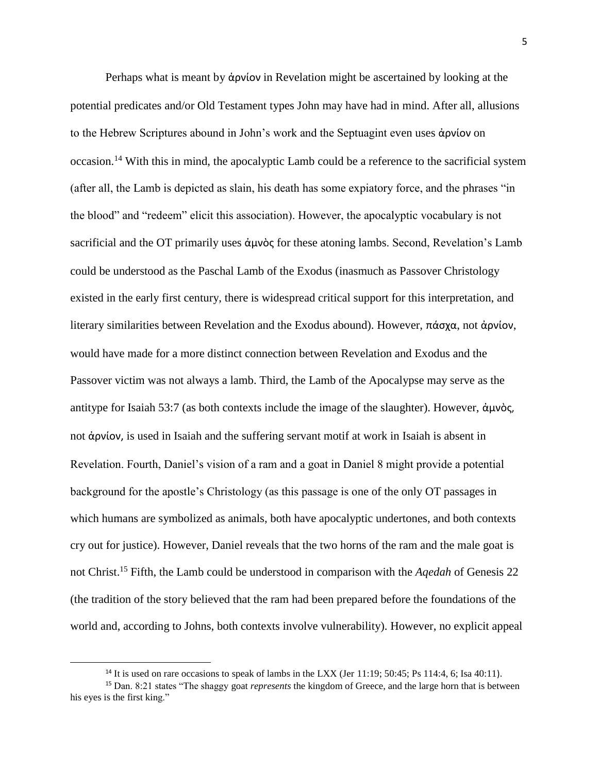Perhaps what is meant by ἀρνίον in Revelation might be ascertained by looking at the potential predicates and/or Old Testament types John may have had in mind. After all, allusions to the Hebrew Scriptures abound in John's work and the Septuagint even uses ἀρνίον on occasion.<sup>14</sup> With this in mind, the apocalyptic Lamb could be a reference to the sacrificial system (after all, the Lamb is depicted as slain, his death has some expiatory force, and the phrases "in the blood" and "redeem" elicit this association). However, the apocalyptic vocabulary is not sacrificial and the OT primarily uses ἀμνὸς for these atoning lambs. Second, Revelation's Lamb could be understood as the Paschal Lamb of the Exodus (inasmuch as Passover Christology existed in the early first century, there is widespread critical support for this interpretation, and literary similarities between Revelation and the Exodus abound). However, πάσχα, not ἀρνίον, would have made for a more distinct connection between Revelation and Exodus and the Passover victim was not always a lamb. Third, the Lamb of the Apocalypse may serve as the antitype for Isaiah 53:7 (as both contexts include the image of the slaughter). However, ἀμνὸς, not ἀρνίον, is used in Isaiah and the suffering servant motif at work in Isaiah is absent in Revelation. Fourth, Daniel's vision of a ram and a goat in Daniel 8 might provide a potential background for the apostle's Christology (as this passage is one of the only OT passages in which humans are symbolized as animals, both have apocalyptic undertones, and both contexts cry out for justice). However, Daniel reveals that the two horns of the ram and the male goat is not Christ.<sup>15</sup> Fifth, the Lamb could be understood in comparison with the *Aqedah* of Genesis 22 (the tradition of the story believed that the ram had been prepared before the foundations of the world and, according to Johns, both contexts involve vulnerability). However, no explicit appeal

<sup>&</sup>lt;sup>14</sup> It is used on rare occasions to speak of lambs in the LXX (Jer 11:19; 50:45; Ps 114:4, 6; Isa 40:11).

<sup>15</sup> Dan. 8:21 states "The shaggy goat *represents* the kingdom of Greece, and the large horn that is between his eyes is the first king."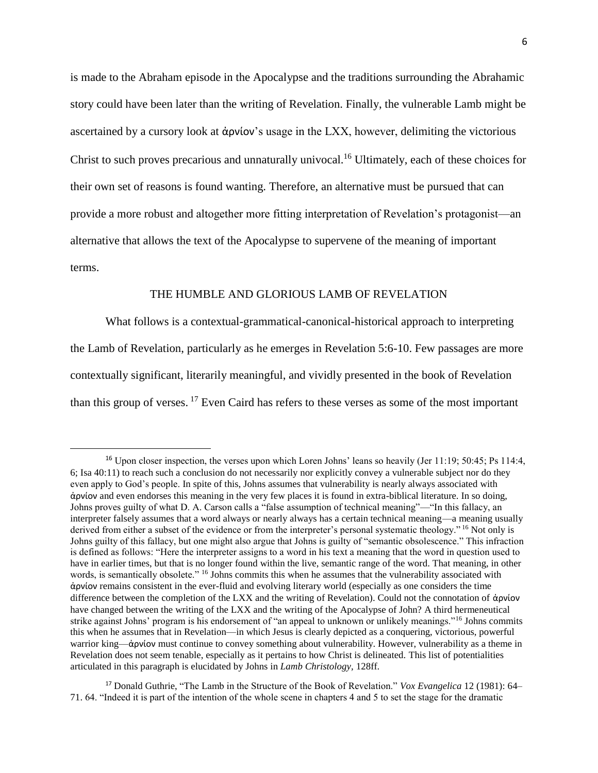is made to the Abraham episode in the Apocalypse and the traditions surrounding the Abrahamic story could have been later than the writing of Revelation. Finally, the vulnerable Lamb might be ascertained by a cursory look at ἀρνίον's usage in the LXX, however, delimiting the victorious Christ to such proves precarious and unnaturally univocal.<sup>16</sup> Ultimately, each of these choices for their own set of reasons is found wanting. Therefore, an alternative must be pursued that can provide a more robust and altogether more fitting interpretation of Revelation's protagonist—an alternative that allows the text of the Apocalypse to supervene of the meaning of important terms.

## THE HUMBLE AND GLORIOUS LAMB OF REVELATION

What follows is a contextual-grammatical-canonical-historical approach to interpreting the Lamb of Revelation, particularly as he emerges in Revelation 5:6-10. Few passages are more contextually significant, literarily meaningful, and vividly presented in the book of Revelation than this group of verses.<sup>17</sup> Even Caird has refers to these verses as some of the most important

<sup>&</sup>lt;sup>16</sup> Upon closer inspection, the verses upon which Loren Johns' leans so heavily (Jer 11:19; 50:45; Ps 114:4, 6; Isa 40:11) to reach such a conclusion do not necessarily nor explicitly convey a vulnerable subject nor do they even apply to God's people. In spite of this, Johns assumes that vulnerability is nearly always associated with ἀρνίον and even endorses this meaning in the very few places it is found in extra-biblical literature. In so doing, Johns proves guilty of what D. A. Carson calls a "false assumption of technical meaning"—"In this fallacy, an interpreter falsely assumes that a word always or nearly always has a certain technical meaning—a meaning usually derived from either a subset of the evidence or from the interpreter's personal systematic theology." <sup>16</sup> Not only is Johns guilty of this fallacy, but one might also argue that Johns is guilty of "semantic obsolescence." This infraction is defined as follows: "Here the interpreter assigns to a word in his text a meaning that the word in question used to have in earlier times, but that is no longer found within the live, semantic range of the word. That meaning, in other words, is semantically obsolete." <sup>16</sup> Johns commits this when he assumes that the vulnerability associated with ἀρνίον remains consistent in the ever-fluid and evolving literary world (especially as one considers the time difference between the completion of the LXX and the writing of Revelation). Could not the connotation of ἀρνίον have changed between the writing of the LXX and the writing of the Apocalypse of John? A third hermeneutical strike against Johns' program is his endorsement of "an appeal to unknown or unlikely meanings."<sup>16</sup> Johns commits this when he assumes that in Revelation—in which Jesus is clearly depicted as a conquering, victorious, powerful warrior king—ἀρνίον must continue to convey something about vulnerability. However, vulnerability as a theme in Revelation does not seem tenable, especially as it pertains to how Christ is delineated. This list of potentialities articulated in this paragraph is elucidated by Johns in *Lamb Christology,* 128ff.

<sup>17</sup> Donald Guthrie, "The Lamb in the Structure of the Book of Revelation." *Vox Evangelica* 12 (1981): 64– 71. 64. "Indeed it is part of the intention of the whole scene in chapters 4 and 5 to set the stage for the dramatic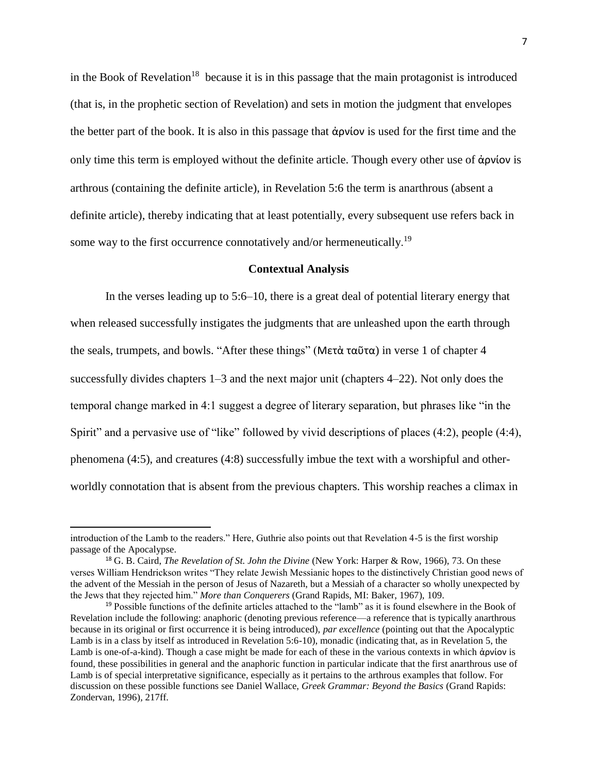in the Book of Revelation<sup>18</sup> because it is in this passage that the main protagonist is introduced (that is, in the prophetic section of Revelation) and sets in motion the judgment that envelopes the better part of the book. It is also in this passage that ἀρνίον is used for the first time and the only time this term is employed without the definite article. Though every other use of ἀρνίον is arthrous (containing the definite article), in Revelation 5:6 the term is anarthrous (absent a definite article), thereby indicating that at least potentially, every subsequent use refers back in some way to the first occurrence connotatively and/or hermeneutically.<sup>19</sup>

## **Contextual Analysis**

In the verses leading up to 5:6–10, there is a great deal of potential literary energy that when released successfully instigates the judgments that are unleashed upon the earth through the seals, trumpets, and bowls. "After these things" (Μετὰ ταῦτα) in verse 1 of chapter 4 successfully divides chapters 1–3 and the next major unit (chapters 4–22). Not only does the temporal change marked in 4:1 suggest a degree of literary separation, but phrases like "in the Spirit" and a pervasive use of "like" followed by vivid descriptions of places (4:2), people (4:4), phenomena (4:5), and creatures (4:8) successfully imbue the text with a worshipful and otherworldly connotation that is absent from the previous chapters. This worship reaches a climax in

introduction of the Lamb to the readers." Here, Guthrie also points out that Revelation 4-5 is the first worship passage of the Apocalypse.

<sup>&</sup>lt;sup>18</sup> G. B. Caird, *The Revelation of St. John the Divine* (New York: Harper & Row, 1966), 73. On these verses William Hendrickson writes "They relate Jewish Messianic hopes to the distinctively Christian good news of the advent of the Messiah in the person of Jesus of Nazareth, but a Messiah of a character so wholly unexpected by the Jews that they rejected him." *More than Conquerers* (Grand Rapids, MI: Baker, 1967), 109.

<sup>&</sup>lt;sup>19</sup> Possible functions of the definite articles attached to the "lamb" as it is found elsewhere in the Book of Revelation include the following: anaphoric (denoting previous reference—a reference that is typically anarthrous because in its original or first occurrence it is being introduced), *par excellence* (pointing out that the Apocalyptic Lamb is in a class by itself as introduced in Revelation 5:6-10), monadic (indicating that, as in Revelation 5, the Lamb is one-of-a-kind). Though a case might be made for each of these in the various contexts in which ἀρνίον is found, these possibilities in general and the anaphoric function in particular indicate that the first anarthrous use of Lamb is of special interpretative significance, especially as it pertains to the arthrous examples that follow. For discussion on these possible functions see Daniel Wallace, *Greek Grammar: Beyond the Basics* (Grand Rapids: Zondervan, 1996)*,* 217ff.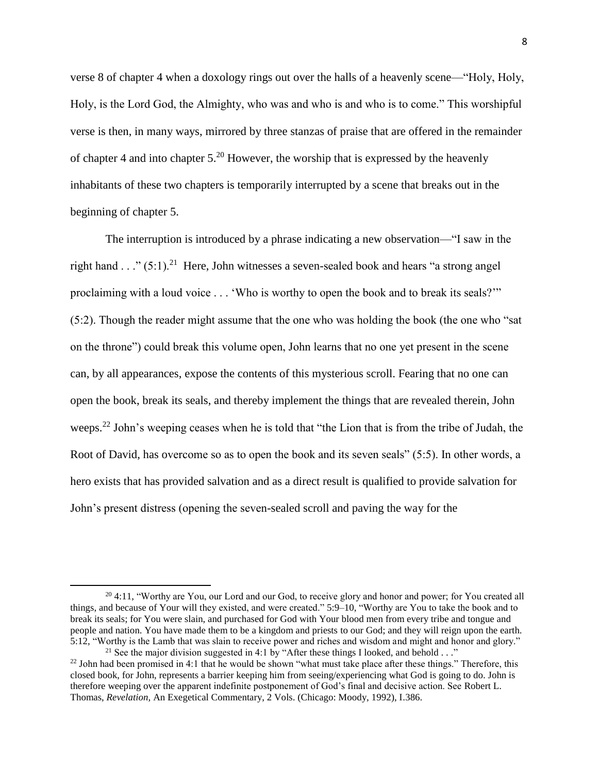verse 8 of chapter 4 when a doxology rings out over the halls of a heavenly scene—"Holy, Holy, Holy, is the Lord God, the Almighty, who was and who is and who is to come." This worshipful verse is then, in many ways, mirrored by three stanzas of praise that are offered in the remainder of chapter 4 and into chapter  $5.^{20}$  However, the worship that is expressed by the heavenly inhabitants of these two chapters is temporarily interrupted by a scene that breaks out in the beginning of chapter 5.

The interruption is introduced by a phrase indicating a new observation—"I saw in the right hand . . ."  $(5:1)$ .<sup>21</sup> Here, John witnesses a seven-sealed book and hears "a strong angel proclaiming with a loud voice . . . 'Who is worthy to open the book and to break its seals?'" (5:2). Though the reader might assume that the one who was holding the book (the one who "sat on the throne") could break this volume open, John learns that no one yet present in the scene can, by all appearances, expose the contents of this mysterious scroll. Fearing that no one can open the book, break its seals, and thereby implement the things that are revealed therein, John weeps.<sup>22</sup> John's weeping ceases when he is told that "the Lion that is from the tribe of Judah, the Root of David, has overcome so as to open the book and its seven seals" (5:5). In other words, a hero exists that has provided salvation and as a direct result is qualified to provide salvation for John's present distress (opening the seven-sealed scroll and paving the way for the

 $20$  4:11, "Worthy are You, our Lord and our God, to receive glory and honor and power; for You created all things, and because of Your will they existed, and were created." 5:9–10, "Worthy are You to take the book and to break its seals; for You were slain, and purchased for God with Your blood men from every tribe and tongue and people and nation. You have made them to be a kingdom and priests to our God; and they will reign upon the earth. 5:12, "Worthy is the Lamb that was slain to receive power and riches and wisdom and might and honor and glory." <sup>21</sup> See the major division suggested in 4:1 by "After these things I looked, and behold  $\dots$ "

 $22$  John had been promised in 4:1 that he would be shown "what must take place after these things." Therefore, this closed book, for John, represents a barrier keeping him from seeing/experiencing what God is going to do. John is therefore weeping over the apparent indefinite postponement of God's final and decisive action. See Robert L. Thomas, *Revelation,* An Exegetical Commentary, 2 Vols. (Chicago: Moody, 1992), I.386.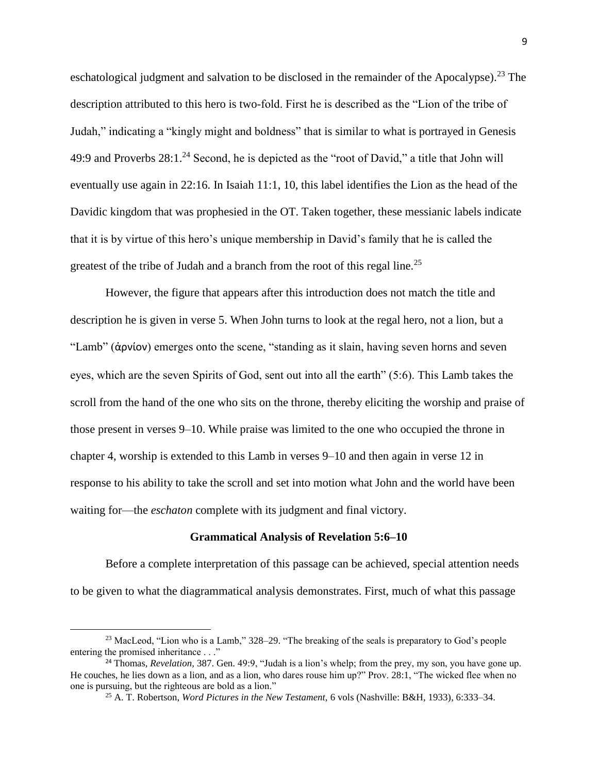eschatological judgment and salvation to be disclosed in the remainder of the Apocalypse).<sup>23</sup> The description attributed to this hero is two-fold. First he is described as the "Lion of the tribe of Judah," indicating a "kingly might and boldness" that is similar to what is portrayed in Genesis 49:9 and Proverbs  $28:1.^{24}$  Second, he is depicted as the "root of David," a title that John will eventually use again in 22:16. In Isaiah 11:1, 10, this label identifies the Lion as the head of the Davidic kingdom that was prophesied in the OT. Taken together, these messianic labels indicate that it is by virtue of this hero's unique membership in David's family that he is called the greatest of the tribe of Judah and a branch from the root of this regal line.<sup>25</sup>

However, the figure that appears after this introduction does not match the title and description he is given in verse 5. When John turns to look at the regal hero, not a lion, but a "Lamb" (ἀρνίον) emerges onto the scene, "standing as it slain, having seven horns and seven eyes, which are the seven Spirits of God, sent out into all the earth" (5:6). This Lamb takes the scroll from the hand of the one who sits on the throne, thereby eliciting the worship and praise of those present in verses 9–10. While praise was limited to the one who occupied the throne in chapter 4, worship is extended to this Lamb in verses 9–10 and then again in verse 12 in response to his ability to take the scroll and set into motion what John and the world have been waiting for—the *eschaton* complete with its judgment and final victory.

#### **Grammatical Analysis of Revelation 5:6–10**

Before a complete interpretation of this passage can be achieved, special attention needs to be given to what the diagrammatical analysis demonstrates. First, much of what this passage

<sup>&</sup>lt;sup>23</sup> MacLeod, "Lion who is a Lamb," 328–29. "The breaking of the seals is preparatory to God's people entering the promised inheritance . . ."

<sup>24</sup> Thomas, *Revelation,* 387. Gen. 49:9, "Judah is a lion's whelp; from the prey, my son, you have gone up. He couches, he lies down as a lion, and as a lion, who dares rouse him up?" Prov. 28:1, "The wicked flee when no one is pursuing, but the righteous are bold as a lion."

<sup>25</sup> A. T. Robertson, *Word Pictures in the New Testament,* 6 vols (Nashville: B&H, 1933), 6:333–34.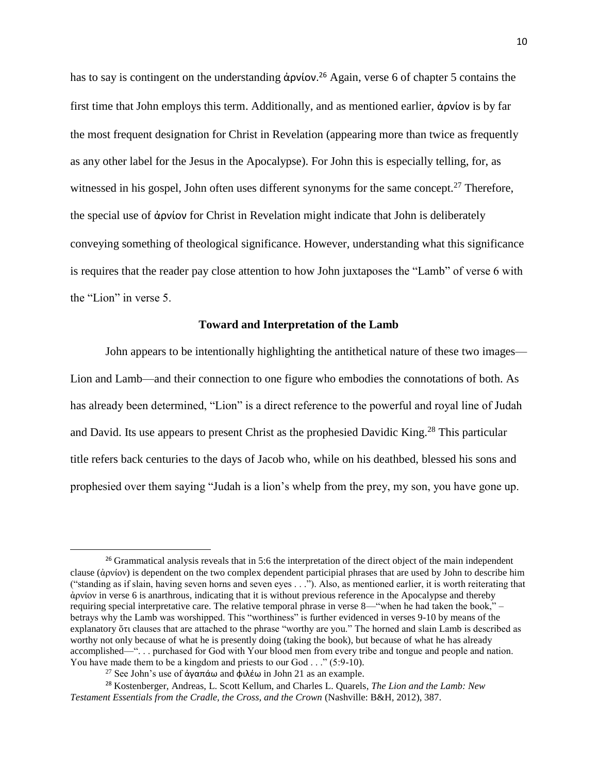has to say is contingent on the understanding ἀρνίον. <sup>26</sup> Again, verse 6 of chapter 5 contains the first time that John employs this term. Additionally, and as mentioned earlier, ἀρνίον is by far the most frequent designation for Christ in Revelation (appearing more than twice as frequently as any other label for the Jesus in the Apocalypse). For John this is especially telling, for, as witnessed in his gospel, John often uses different synonyms for the same concept.<sup>27</sup> Therefore, the special use of ἀρνίον for Christ in Revelation might indicate that John is deliberately conveying something of theological significance. However, understanding what this significance is requires that the reader pay close attention to how John juxtaposes the "Lamb" of verse 6 with the "Lion" in verse 5.

### **Toward and Interpretation of the Lamb**

John appears to be intentionally highlighting the antithetical nature of these two images— Lion and Lamb—and their connection to one figure who embodies the connotations of both. As has already been determined, "Lion" is a direct reference to the powerful and royal line of Judah and David. Its use appears to present Christ as the prophesied Davidic King.<sup>28</sup> This particular title refers back centuries to the days of Jacob who, while on his deathbed, blessed his sons and prophesied over them saying "Judah is a lion's whelp from the prey, my son, you have gone up.

<sup>&</sup>lt;sup>26</sup> Grammatical analysis reveals that in 5:6 the interpretation of the direct object of the main independent clause (ἀρνίον) is dependent on the two complex dependent participial phrases that are used by John to describe him ("standing as if slain, having seven horns and seven eyes . . ."). Also, as mentioned earlier, it is worth reiterating that ἀρνίον in verse 6 is anarthrous, indicating that it is without previous reference in the Apocalypse and thereby requiring special interpretative care. The relative temporal phrase in verse 8—"when he had taken the book," – betrays why the Lamb was worshipped. This "worthiness" is further evidenced in verses 9-10 by means of the explanatory ὅτι clauses that are attached to the phrase "worthy are you." The horned and slain Lamb is described as worthy not only because of what he is presently doing (taking the book), but because of what he has already accomplished—". . . purchased for God with Your blood men from every tribe and tongue and people and nation. You have made them to be a kingdom and priests to our God . . ." (5:9-10).

<sup>&</sup>lt;sup>27</sup> See John's use of άγαπάω and φιλέω in John 21 as an example.

<sup>28</sup> Kostenberger, Andreas, L. Scott Kellum, and Charles L. Quarels, *The Lion and the Lamb: New Testament Essentials from the Cradle, the Cross, and the Crown* (Nashville: B&H, 2012), 387.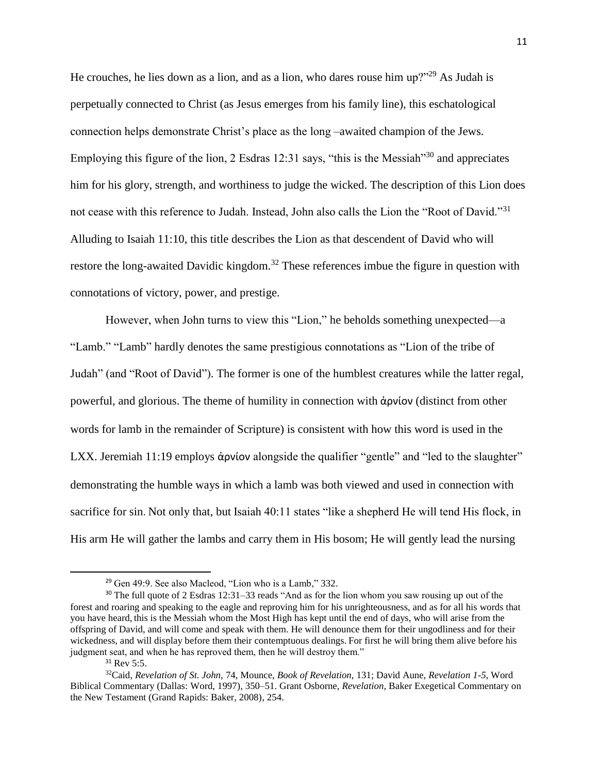He crouches, he lies down as a lion, and as a lion, who dares rouse him up? $129$ <sup>29</sup> As Judah is perpetually connected to Christ (as Jesus emerges from his family line), this eschatological connection helps demonstrate Christ's place as the long –awaited champion of the Jews. Employing this figure of the lion, 2 Esdras 12:31 says, "this is the Messiah"<sup>30</sup> and appreciates him for his glory, strength, and worthiness to judge the wicked. The description of this Lion does not cease with this reference to Judah. Instead, John also calls the Lion the "Root of David."<sup>31</sup> Alluding to Isaiah 11:10, this title describes the Lion as that descendent of David who will restore the long-awaited Davidic kingdom.<sup>32</sup> These references imbue the figure in question with connotations of victory, power, and prestige.

However, when John turns to view this "Lion," he beholds something unexpected—a "Lamb." "Lamb" hardly denotes the same prestigious connotations as "Lion of the tribe of Judah" (and "Root of David"). The former is one of the humblest creatures while the latter regal, powerful, and glorious. The theme of humility in connection with ἀρνίον (distinct from other words for lamb in the remainder of Scripture) is consistent with how this word is used in the LXX. Jeremiah 11:19 employs άρνίον alongside the qualifier "gentle" and "led to the slaughter" demonstrating the humble ways in which a lamb was both viewed and used in connection with sacrifice for sin. Not only that, but Isaiah 40:11 states "like a shepherd He will tend His flock, in His arm He will gather the lambs and carry them in His bosom; He will gently lead the nursing

<sup>29</sup> Gen 49:9. See also Macleod, "Lion who is a Lamb," 332.

<sup>&</sup>lt;sup>30</sup> The full quote of 2 Esdras 12:31–33 reads "And as for the lion whom you saw rousing up out of the forest and roaring and speaking to the eagle and reproving him for his unrighteousness, and as for all his words that you have heard, this is the Messiah whom the Most High has kept until the end of days, who will arise from the offspring of David, and will come and speak with them. He will denounce them for their ungodliness and for their wickedness, and will display before them their contemptuous dealings. For first he will bring them alive before his judgment seat, and when he has reproved them, then he will destroy them."

<sup>&</sup>lt;sup>31</sup> Rev 5:5.

<sup>32</sup>Caid, *Revelation of St. John,* 74, Mounce, *Book of Revelation,* 131; David Aune, *Revelation 1-5,* Word Biblical Commentary (Dallas: Word, 1997)*,* 350–51. Grant Osborne, *Revelation,* Baker Exegetical Commentary on the New Testament (Grand Rapids: Baker, 2008)*,* 254.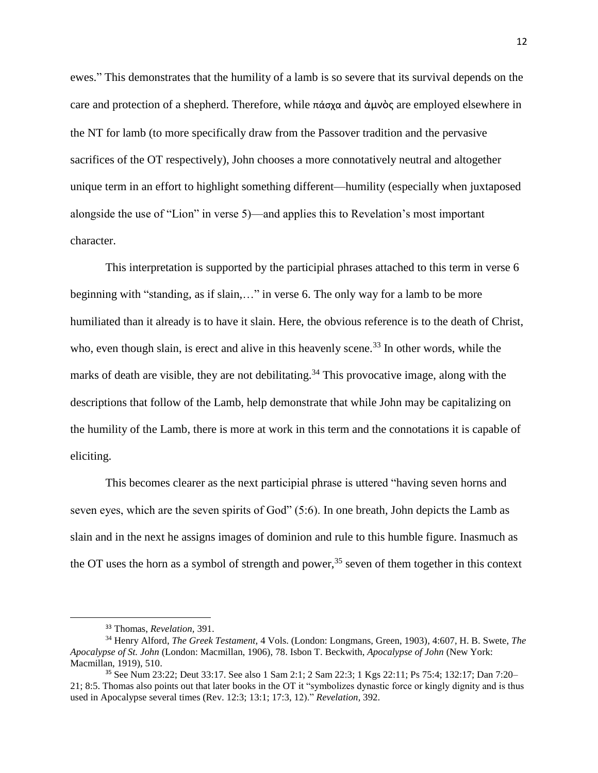ewes." This demonstrates that the humility of a lamb is so severe that its survival depends on the care and protection of a shepherd. Therefore, while πάσχα and ἀμνὸς are employed elsewhere in the NT for lamb (to more specifically draw from the Passover tradition and the pervasive sacrifices of the OT respectively), John chooses a more connotatively neutral and altogether unique term in an effort to highlight something different—humility (especially when juxtaposed alongside the use of "Lion" in verse 5)—and applies this to Revelation's most important character.

This interpretation is supported by the participial phrases attached to this term in verse 6 beginning with "standing, as if slain,…" in verse 6. The only way for a lamb to be more humiliated than it already is to have it slain. Here, the obvious reference is to the death of Christ, who, even though slain, is erect and alive in this heavenly scene.<sup>33</sup> In other words, while the marks of death are visible, they are not debilitating.<sup>34</sup> This provocative image, along with the descriptions that follow of the Lamb, help demonstrate that while John may be capitalizing on the humility of the Lamb, there is more at work in this term and the connotations it is capable of eliciting.

This becomes clearer as the next participial phrase is uttered "having seven horns and seven eyes, which are the seven spirits of God" (5:6). In one breath, John depicts the Lamb as slain and in the next he assigns images of dominion and rule to this humble figure. Inasmuch as the OT uses the horn as a symbol of strength and power,<sup>35</sup> seven of them together in this context

<sup>33</sup> Thomas, *Revelation,* 391.

<sup>34</sup> Henry Alford, *The Greek Testament,* 4 Vols. (London: Longmans, Green, 1903), 4:607, H. B. Swete, *The Apocalypse of St. John* (London: Macmillan, 1906), 78. Isbon T. Beckwith, *Apocalypse of John* (New York: Macmillan, 1919), 510.

<sup>35</sup> See Num 23:22; Deut 33:17. See also 1 Sam 2:1; 2 Sam 22:3; 1 Kgs 22:11; Ps 75:4; 132:17; Dan 7:20– 21; 8:5. Thomas also points out that later books in the OT it "symbolizes dynastic force or kingly dignity and is thus used in Apocalypse several times (Rev. 12:3; 13:1; 17:3, 12)." *Revelation,* 392.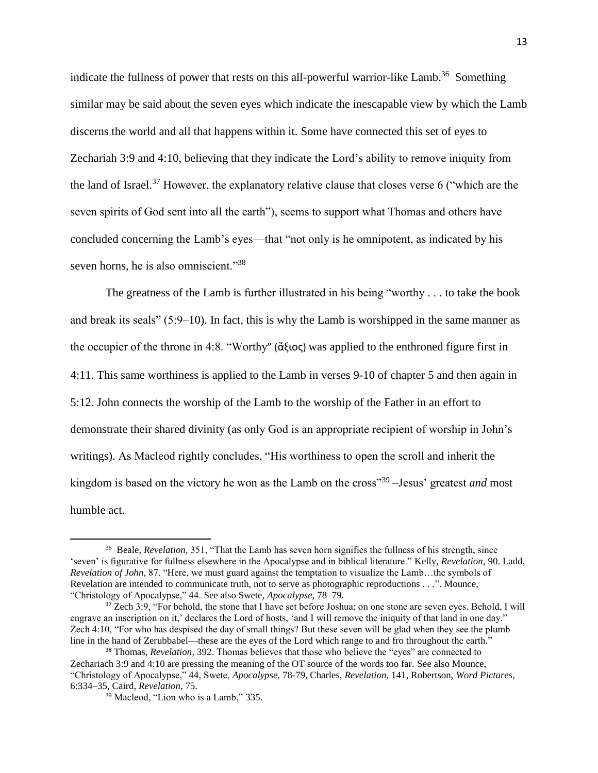indicate the fullness of power that rests on this all-powerful warrior-like Lamb.<sup>36</sup> Something similar may be said about the seven eyes which indicate the inescapable view by which the Lamb discerns the world and all that happens within it. Some have connected this set of eyes to Zechariah 3:9 and 4:10, believing that they indicate the Lord's ability to remove iniquity from the land of Israel.<sup>37</sup> However, the explanatory relative clause that closes verse 6 ("which are the seven spirits of God sent into all the earth"), seems to support what Thomas and others have concluded concerning the Lamb's eyes—that "not only is he omnipotent, as indicated by his seven horns, he is also omniscient."<sup>38</sup>

The greatness of the Lamb is further illustrated in his being "worthy . . . to take the book and break its seals" (5:9–10). In fact, this is why the Lamb is worshipped in the same manner as the occupier of the throne in 4:8. "Worthy" (ἄξιος) was applied to the enthroned figure first in 4:11. This same worthiness is applied to the Lamb in verses 9-10 of chapter 5 and then again in 5:12. John connects the worship of the Lamb to the worship of the Father in an effort to demonstrate their shared divinity (as only God is an appropriate recipient of worship in John's writings). As Macleod rightly concludes, "His worthiness to open the scroll and inherit the kingdom is based on the victory he won as the Lamb on the cross"<sup>39</sup> –Jesus' greatest *and* most humble act.

<sup>&</sup>lt;sup>36</sup> Beale, *Revelation*, 351, "That the Lamb has seven horn signifies the fullness of his strength, since 'seven' is figurative for fullness elsewhere in the Apocalypse and in biblical literature." Kelly, *Revelation*, 90. Ladd, *Revelation of John,* 87. "Here, we must guard against the temptation to visualize the Lamb…the symbols of Revelation are intended to communicate truth, not to serve as photographic reproductions . . .". Mounce, "Christology of Apocalypse," 44. See also Swete, *Apocalypse,* 78–79*.* 

<sup>&</sup>lt;sup>37</sup> Zech 3:9, "For behold, the stone that I have set before Joshua; on one stone are seven eyes. Behold, I will engrave an inscription on it,' declares the Lord of hosts, 'and I will remove the iniquity of that land in one day." Zech 4:10, "For who has despised the day of small things? But these seven will be glad when they see the plumb line in the hand of Zerubbabel—these are the eyes of the Lord which range to and fro throughout the earth."

<sup>38</sup> Thomas, *Revelation,* 392. Thomas believes that those who believe the "eyes" are connected to Zechariach 3:9 and 4:10 are pressing the meaning of the OT source of the words too far. See also Mounce, "Christology of Apocalypse," 44, Swete, *Apocalypse,* 78-79, Charles, *Revelation*, 141, Robertson, *Word Pictures*, 6:334–35, Caird, *Revelation,* 75.

<sup>39</sup> Macleod, "Lion who is a Lamb," 335.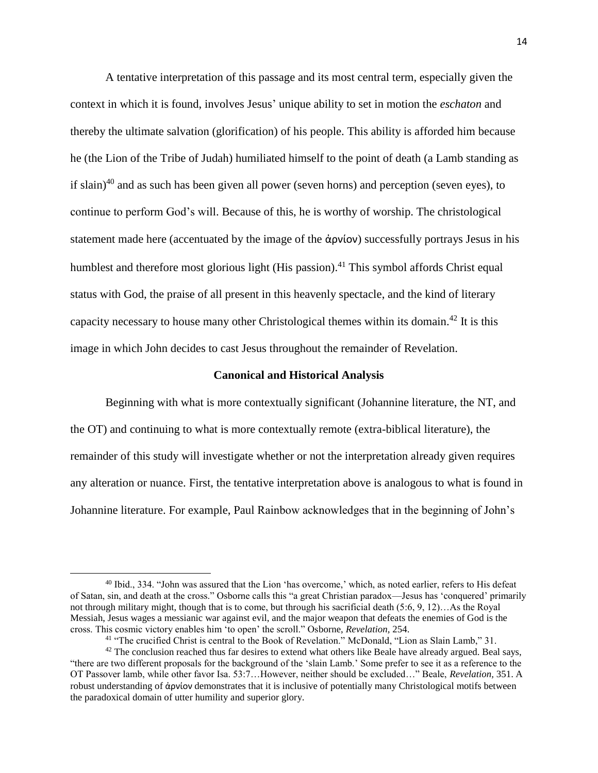A tentative interpretation of this passage and its most central term, especially given the context in which it is found, involves Jesus' unique ability to set in motion the *eschaton* and thereby the ultimate salvation (glorification) of his people. This ability is afforded him because he (the Lion of the Tribe of Judah) humiliated himself to the point of death (a Lamb standing as if slain)<sup>40</sup> and as such has been given all power (seven horns) and perception (seven eyes), to continue to perform God's will. Because of this, he is worthy of worship. The christological statement made here (accentuated by the image of the ἀρνίον) successfully portrays Jesus in his humblest and therefore most glorious light (His passion).<sup>41</sup> This symbol affords Christ equal status with God, the praise of all present in this heavenly spectacle, and the kind of literary capacity necessary to house many other Christological themes within its domain.<sup>42</sup> It is this image in which John decides to cast Jesus throughout the remainder of Revelation.

### **Canonical and Historical Analysis**

Beginning with what is more contextually significant (Johannine literature, the NT, and the OT) and continuing to what is more contextually remote (extra-biblical literature), the remainder of this study will investigate whether or not the interpretation already given requires any alteration or nuance. First, the tentative interpretation above is analogous to what is found in Johannine literature. For example, Paul Rainbow acknowledges that in the beginning of John's

l

<sup>40</sup> Ibid., 334. "John was assured that the Lion 'has overcome,' which, as noted earlier, refers to His defeat of Satan, sin, and death at the cross." Osborne calls this "a great Christian paradox—Jesus has 'conquered' primarily not through military might, though that is to come, but through his sacrificial death (5:6, 9, 12)…As the Royal Messiah, Jesus wages a messianic war against evil, and the major weapon that defeats the enemies of God is the cross. This cosmic victory enables him 'to open' the scroll." Osborne, *Revelation,* 254.

<sup>41</sup> "The crucified Christ is central to the Book of Revelation." McDonald, "Lion as Slain Lamb," 31.

 $42$  The conclusion reached thus far desires to extend what others like Beale have already argued. Beal says, "there are two different proposals for the background of the 'slain Lamb.' Some prefer to see it as a reference to the OT Passover lamb, while other favor Isa. 53:7…However, neither should be excluded…" Beale, *Revelation,* 351. A robust understanding of ἀρνίον demonstrates that it is inclusive of potentially many Christological motifs between the paradoxical domain of utter humility and superior glory.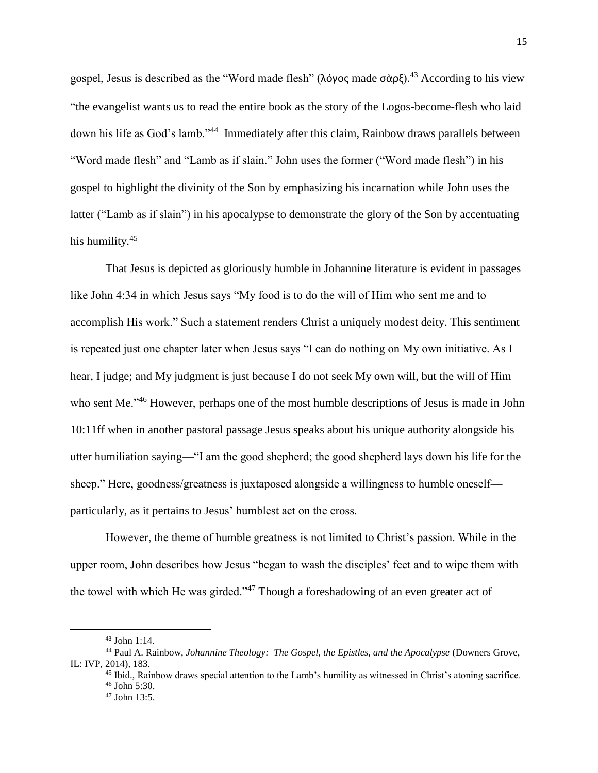gospel, Jesus is described as the "Word made flesh" (λόγος made σὰρξ).<sup>43</sup> According to his view "the evangelist wants us to read the entire book as the story of the Logos-become-flesh who laid down his life as God's lamb."<sup>44</sup> Immediately after this claim, Rainbow draws parallels between "Word made flesh" and "Lamb as if slain." John uses the former ("Word made flesh") in his gospel to highlight the divinity of the Son by emphasizing his incarnation while John uses the latter ("Lamb as if slain") in his apocalypse to demonstrate the glory of the Son by accentuating his humility.<sup>45</sup>

That Jesus is depicted as gloriously humble in Johannine literature is evident in passages like John 4:34 in which Jesus says "My food is to do the will of Him who sent me and to accomplish His work." Such a statement renders Christ a uniquely modest deity. This sentiment is repeated just one chapter later when Jesus says "I can do nothing on My own initiative. As I hear, I judge; and My judgment is just because I do not seek My own will, but the will of Him who sent Me.<sup> $,46$ </sup> However, perhaps one of the most humble descriptions of Jesus is made in John 10:11ff when in another pastoral passage Jesus speaks about his unique authority alongside his utter humiliation saying—"I am the good shepherd; the good shepherd lays down his life for the sheep." Here, goodness/greatness is juxtaposed alongside a willingness to humble oneself particularly, as it pertains to Jesus' humblest act on the cross.

However, the theme of humble greatness is not limited to Christ's passion. While in the upper room, John describes how Jesus "began to wash the disciples' feet and to wipe them with the towel with which He was girded."<sup>47</sup> Though a foreshadowing of an even greater act of

<sup>43</sup> John 1:14.

<sup>44</sup> Paul A. Rainbow, *Johannine Theology: The Gospel, the Epistles, and the Apocalypse* (Downers Grove, IL: IVP, 2014)*,* 183.

<sup>&</sup>lt;sup>45</sup> Ibid., Rainbow draws special attention to the Lamb's humility as witnessed in Christ's atoning sacrifice. <sup>46</sup> John 5:30.

<sup>47</sup> John 13:5.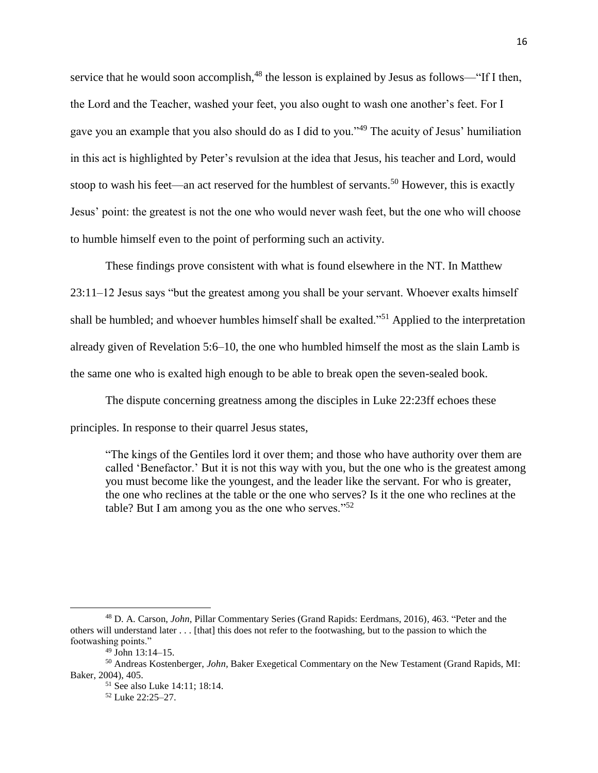service that he would soon accomplish,<sup>48</sup> the lesson is explained by Jesus as follows—"If I then, the Lord and the Teacher, washed your feet, you also ought to wash one another's feet. For I gave you an example that you also should do as I did to you."<sup>49</sup> The acuity of Jesus' humiliation in this act is highlighted by Peter's revulsion at the idea that Jesus, his teacher and Lord, would stoop to wash his feet—an act reserved for the humblest of servants.<sup>50</sup> However, this is exactly Jesus' point: the greatest is not the one who would never wash feet, but the one who will choose to humble himself even to the point of performing such an activity.

These findings prove consistent with what is found elsewhere in the NT. In Matthew 23:11–12 Jesus says "but the greatest among you shall be your servant. Whoever exalts himself shall be humbled; and whoever humbles himself shall be exalted."<sup>51</sup> Applied to the interpretation already given of Revelation 5:6–10, the one who humbled himself the most as the slain Lamb is the same one who is exalted high enough to be able to break open the seven-sealed book.

The dispute concerning greatness among the disciples in Luke 22:23ff echoes these principles. In response to their quarrel Jesus states,

"The kings of the Gentiles lord it over them; and those who have authority over them are called 'Benefactor.' But it is not this way with you, but the one who is the greatest among you must become like the youngest, and the leader like the servant. For who is greater, the one who reclines at the table or the one who serves? Is it the one who reclines at the table? But I am among you as the one who serves." $52$ 

<sup>48</sup> D. A. Carson, *John*, Pillar Commentary Series (Grand Rapids: Eerdmans, 2016)*,* 463. "Peter and the others will understand later . . . [that] this does not refer to the footwashing, but to the passion to which the footwashing points."

 $49$  John 13:14–15.

<sup>50</sup> Andreas Kostenberger, *John,* Baker Exegetical Commentary on the New Testament (Grand Rapids, MI: Baker, 2004), 405.

<sup>51</sup> See also Luke 14:11; 18:14.

<sup>52</sup> Luke 22:25–27.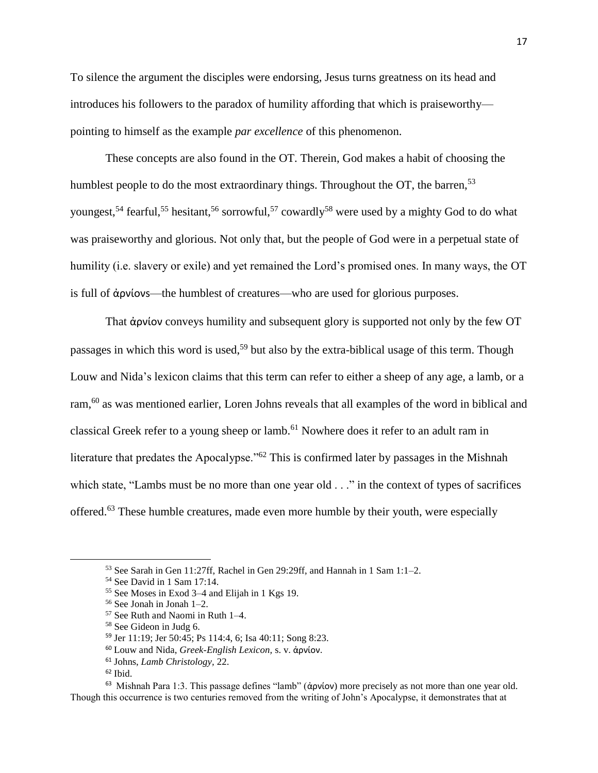To silence the argument the disciples were endorsing, Jesus turns greatness on its head and introduces his followers to the paradox of humility affording that which is praiseworthy pointing to himself as the example *par excellence* of this phenomenon.

These concepts are also found in the OT. Therein, God makes a habit of choosing the humblest people to do the most extraordinary things. Throughout the  $OT$ , the barren,  $53$ youngest,<sup>54</sup> fearful,<sup>55</sup> hesitant,<sup>56</sup> sorrowful,<sup>57</sup> cowardly<sup>58</sup> were used by a mighty God to do what was praiseworthy and glorious. Not only that, but the people of God were in a perpetual state of humility (i.e. slavery or exile) and yet remained the Lord's promised ones. In many ways, the OT is full of ἀρνίονs—the humblest of creatures—who are used for glorious purposes.

That ἀρνίον conveys humility and subsequent glory is supported not only by the few OT passages in which this word is used,<sup>59</sup> but also by the extra-biblical usage of this term. Though Louw and Nida's lexicon claims that this term can refer to either a sheep of any age, a lamb, or a ram,<sup>60</sup> as was mentioned earlier, Loren Johns reveals that all examples of the word in biblical and classical Greek refer to a young sheep or lamb.<sup>61</sup> Nowhere does it refer to an adult ram in literature that predates the Apocalypse."<sup>62</sup> This is confirmed later by passages in the Mishnah which state, "Lambs must be no more than one year old . . ." in the context of types of sacrifices offered.<sup>63</sup> These humble creatures, made even more humble by their youth, were especially

l

<sup>63</sup> Mishnah Para 1:3. This passage defines "lamb" (ἀρνίον) more precisely as not more than one year old. Though this occurrence is two centuries removed from the writing of John's Apocalypse, it demonstrates that at

<sup>53</sup> See Sarah in Gen 11:27ff, Rachel in Gen 29:29ff, and Hannah in 1 Sam 1:1–2.

<sup>54</sup> See David in 1 Sam 17:14.

<sup>55</sup> See Moses in Exod 3–4 and Elijah in 1 Kgs 19.

<sup>56</sup> See Jonah in Jonah 1–2.

<sup>57</sup> See Ruth and Naomi in Ruth 1–4.

<sup>58</sup> See Gideon in Judg 6.

<sup>59</sup> Jer 11:19; Jer 50:45; Ps 114:4, 6; Isa 40:11; Song 8:23.

<sup>60</sup> Louw and Nida, *Greek-English Lexicon,* s. v. ἀρνίον.

<sup>61</sup> Johns, *Lamb Christology,* 22.

 $62$  Ibid.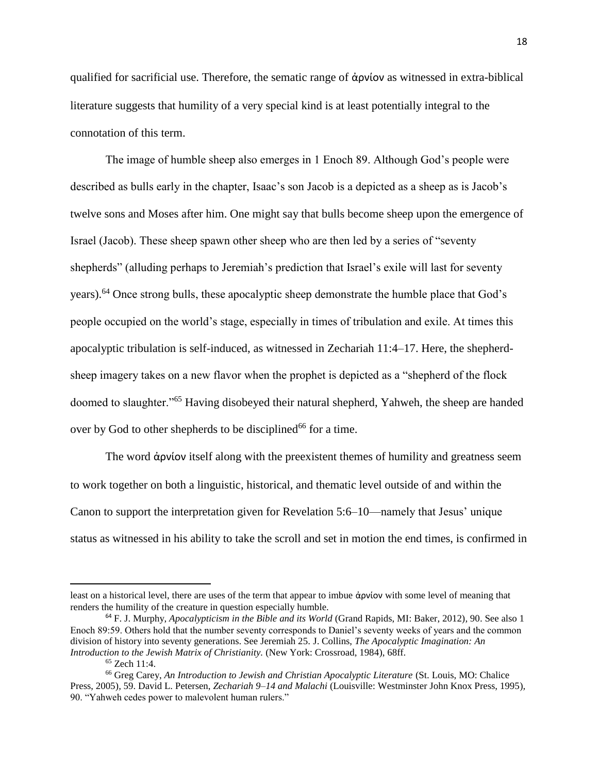qualified for sacrificial use. Therefore, the sematic range of ἀρνίον as witnessed in extra-biblical literature suggests that humility of a very special kind is at least potentially integral to the connotation of this term.

The image of humble sheep also emerges in 1 Enoch 89. Although God's people were described as bulls early in the chapter, Isaac's son Jacob is a depicted as a sheep as is Jacob's twelve sons and Moses after him. One might say that bulls become sheep upon the emergence of Israel (Jacob). These sheep spawn other sheep who are then led by a series of "seventy shepherds" (alluding perhaps to Jeremiah's prediction that Israel's exile will last for seventy years).<sup>64</sup> Once strong bulls, these apocalyptic sheep demonstrate the humble place that God's people occupied on the world's stage, especially in times of tribulation and exile. At times this apocalyptic tribulation is self-induced, as witnessed in Zechariah 11:4–17. Here, the shepherdsheep imagery takes on a new flavor when the prophet is depicted as a "shepherd of the flock doomed to slaughter."<sup>65</sup> Having disobeyed their natural shepherd, Yahweh, the sheep are handed over by God to other shepherds to be disciplined<sup>66</sup> for a time.

The word ἀρνίον itself along with the preexistent themes of humility and greatness seem to work together on both a linguistic, historical, and thematic level outside of and within the Canon to support the interpretation given for Revelation 5:6–10—namely that Jesus' unique status as witnessed in his ability to take the scroll and set in motion the end times, is confirmed in

least on a historical level, there are uses of the term that appear to imbue ἀρνίον with some level of meaning that renders the humility of the creature in question especially humble.

<sup>64</sup> F. J. Murphy, *Apocalypticism in the Bible and its World* (Grand Rapids, MI: Baker, 2012)*,* 90. See also 1 Enoch 89:59. Others hold that the number seventy corresponds to Daniel's seventy weeks of years and the common division of history into seventy generations. See Jeremiah 25. J. Collins, *The Apocalyptic Imagination: An Introduction to the Jewish Matrix of Christianity.* (New York: Crossroad, 1984), 68ff.

<sup>65</sup> Zech 11:4.

<sup>&</sup>lt;sup>66</sup> Greg Carey, *An Introduction to Jewish and Christian Apocalyptic Literature* (St. Louis, MO: Chalice Press, 2005)*,* 59. David L. Petersen, *Zechariah 9–14 and Malachi* (Louisville: Westminster John Knox Press, 1995)*,*  90. "Yahweh cedes power to malevolent human rulers."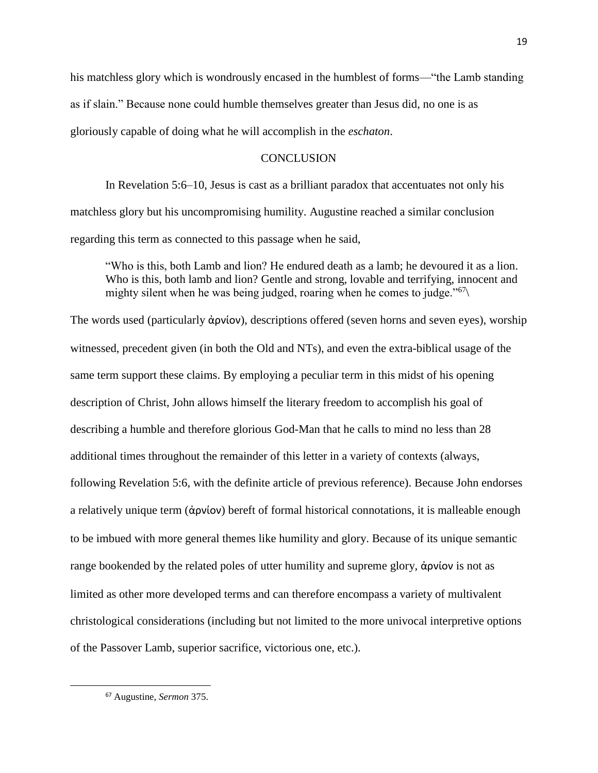his matchless glory which is wondrously encased in the humblest of forms—"the Lamb standing as if slain." Because none could humble themselves greater than Jesus did, no one is as gloriously capable of doing what he will accomplish in the *eschaton*.

## **CONCLUSION**

In Revelation 5:6–10, Jesus is cast as a brilliant paradox that accentuates not only his matchless glory but his uncompromising humility. Augustine reached a similar conclusion regarding this term as connected to this passage when he said,

"Who is this, both Lamb and lion? He endured death as a lamb; he devoured it as a lion. Who is this, both lamb and lion? Gentle and strong, lovable and terrifying, innocent and mighty silent when he was being judged, roaring when he comes to judge."<sup>67</sup>\

The words used (particularly ἀρνίον), descriptions offered (seven horns and seven eyes), worship witnessed, precedent given (in both the Old and NTs), and even the extra-biblical usage of the same term support these claims. By employing a peculiar term in this midst of his opening description of Christ, John allows himself the literary freedom to accomplish his goal of describing a humble and therefore glorious God-Man that he calls to mind no less than 28 additional times throughout the remainder of this letter in a variety of contexts (always, following Revelation 5:6, with the definite article of previous reference). Because John endorses a relatively unique term (ἀρνίον) bereft of formal historical connotations, it is malleable enough to be imbued with more general themes like humility and glory. Because of its unique semantic range bookended by the related poles of utter humility and supreme glory, ἀρνίον is not as limited as other more developed terms and can therefore encompass a variety of multivalent christological considerations (including but not limited to the more univocal interpretive options of the Passover Lamb, superior sacrifice, victorious one, etc.).

<sup>67</sup> Augustine, *Sermon* 375.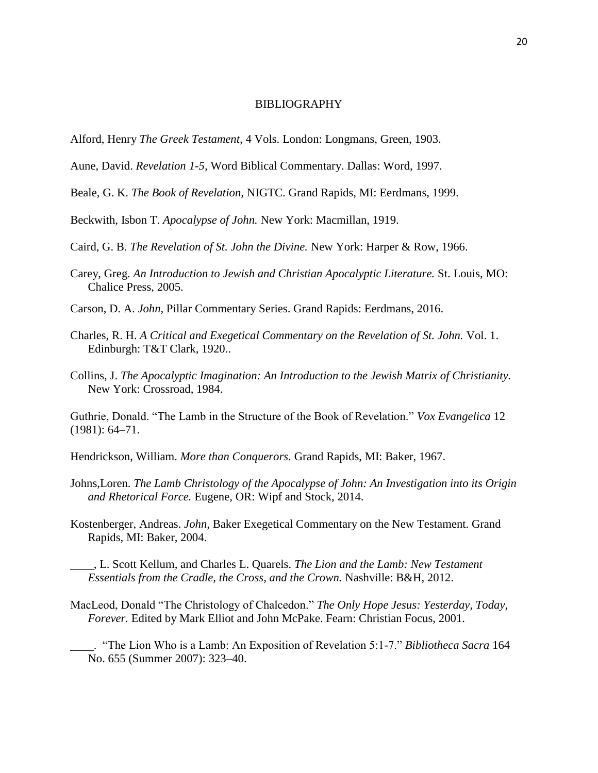### BIBLIOGRAPHY

- Alford, Henry *The Greek Testament,* 4 Vols. London: Longmans, Green, 1903.
- Aune, David. *Revelation 1-5,* Word Biblical Commentary. Dallas: Word, 1997.
- Beale, G. K. *The Book of Revelation,* NIGTC. Grand Rapids, MI: Eerdmans, 1999.
- Beckwith, Isbon T. *Apocalypse of John.* New York: Macmillan, 1919.
- Caird, G. B. *The Revelation of St. John the Divine.* New York: Harper & Row, 1966.
- Carey, Greg. *An Introduction to Jewish and Christian Apocalyptic Literature.* St. Louis, MO: Chalice Press, 2005.
- Carson, D. A. *John*, Pillar Commentary Series. Grand Rapids: Eerdmans, 2016.
- Charles, R. H. *A Critical and Exegetical Commentary on the Revelation of St. John.* Vol. 1. Edinburgh: T&T Clark, 1920..
- Collins, J. *The Apocalyptic Imagination: An Introduction to the Jewish Matrix of Christianity.*  New York: Crossroad, 1984.

Guthrie, Donald. "The Lamb in the Structure of the Book of Revelation." *Vox Evangelica* 12 (1981): 64–71.

Hendrickson, William. *More than Conquerors.* Grand Rapids, MI: Baker, 1967.

- Johns,Loren. *The Lamb Christology of the Apocalypse of John: An Investigation into its Origin and Rhetorical Force.* Eugene, OR: Wipf and Stock, 2014.
- Kostenberger, Andreas. *John,* Baker Exegetical Commentary on the New Testament. Grand Rapids, MI: Baker, 2004.
- , L. Scott Kellum, and Charles L. Quarels. *The Lion and the Lamb: New Testament Essentials from the Cradle, the Cross, and the Crown.* Nashville: B&H, 2012.
- MacLeod, Donald "The Christology of Chalcedon." *The Only Hope Jesus: Yesterday, Today, Forever.* Edited by Mark Elliot and John McPake. Fearn: Christian Focus, 2001.
- . "The Lion Who is a Lamb: An Exposition of Revelation 5:1-7." *Bibliotheca Sacra* 164 No. 655 (Summer 2007): 323–40.